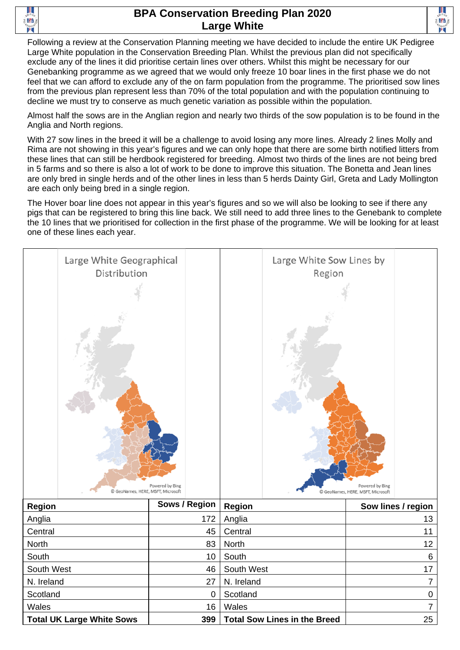

## **BPA Conservation Breeding Plan 2020 Large White**



Following a review at the Conservation Planning meeting we have decided to include the entire UK Pedigree Large White population in the Conservation Breeding Plan. Whilst the previous plan did not specifically exclude any of the lines it did prioritise certain lines over others. Whilst this might be necessary for our Genebanking programme as we agreed that we would only freeze 10 boar lines in the first phase we do not feel that we can afford to exclude any of the on farm population from the programme. The prioritised sow lines from the previous plan represent less than 70% of the total population and with the population continuing to decline we must try to conserve as much genetic variation as possible within the population.

Almost half the sows are in the Anglian region and nearly two thirds of the sow population is to be found in the Anglia and North regions.

With 27 sow lines in the breed it will be a challenge to avoid losing any more lines. Already 2 lines Molly and Rima are not showing in this year's figures and we can only hope that there are some birth notified litters from these lines that can still be herdbook registered for breeding. Almost two thirds of the lines are not being bred in 5 farms and so there is also a lot of work to be done to improve this situation. The Bonetta and Jean lines are only bred in single herds and of the other lines in less than 5 herds Dainty Girl, Greta and Lady Mollington are each only being bred in a single region.

The Hover boar line does not appear in this year's figures and so we will also be looking to see if there any pigs that can be registered to bring this line back. We still need to add three lines to the Genebank to complete the 10 lines that we prioritised for collection in the first phase of the programme. We will be looking for at least one of these lines each year.



| <b>Region</b>                    | Sows / Region | <b>Region</b>                       | Sow lines / region |
|----------------------------------|---------------|-------------------------------------|--------------------|
| Anglia                           | 172           | Anglia                              | 13                 |
| Central                          | 45            | Central                             | 11                 |
| <b>North</b>                     | 83            | <b>North</b>                        | 12                 |
| South                            | 10            | South                               | 6                  |
| South West                       | 46            | South West                          | 17                 |
| N. Ireland                       | 27            | N. Ireland                          |                    |
| Scotland                         | 0             | Scotland                            | 0                  |
| Wales                            | 16            | Wales                               |                    |
| <b>Total UK Large White Sows</b> | 399           | <b>Total Sow Lines in the Breed</b> | 25                 |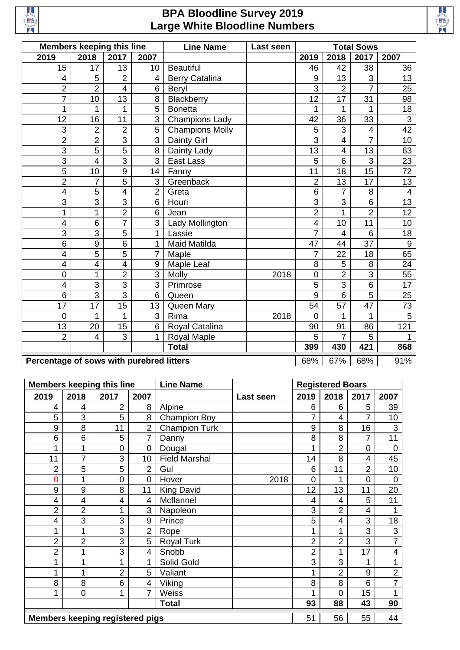

## **BPA Bloodline Survey 2019 Large White Bloodline Numbers**



|                                          | Members keeping this line |                |                | <b>Line Name</b>       | Last seen | <b>Total Sows</b> |                 |                         |                 |
|------------------------------------------|---------------------------|----------------|----------------|------------------------|-----------|-------------------|-----------------|-------------------------|-----------------|
| 2019                                     | 2018                      | 2017           | 2007           |                        |           | 2019              | 2018            | 2017                    | 2007            |
| 15                                       | 17                        | 13             | 10             | <b>Beautiful</b>       |           | 46                | 42              | 38                      | 36              |
| $\overline{4}$                           | 5                         | $\overline{2}$ | 4              | <b>Berry Catalina</b>  |           | 9                 | 13              | 3                       | 13              |
| $\overline{2}$                           | $\overline{2}$            | $\overline{4}$ | 6              | Beryl                  |           | 3                 | $\overline{2}$  | $\overline{7}$          | 25              |
| $\overline{7}$                           | 10                        | 13             | 8              | Blackberry             |           | 12                | $\overline{17}$ | 31                      | 98              |
| 1                                        | 1                         | 1              | 5              | <b>Bonetta</b>         |           | 1                 | 1               | 1                       | 18              |
| 12                                       | 16                        | 11             | 3              | <b>Champions Lady</b>  |           | 42                | 36              | 33                      | $\overline{3}$  |
| 3                                        | $\overline{2}$            | $\overline{2}$ | 5              | <b>Champions Molly</b> |           | 5                 | 3               | $\overline{\mathbf{4}}$ | $\overline{42}$ |
| $\overline{2}$                           | $\overline{2}$            | $\overline{3}$ | 3              | <b>Dainty Girl</b>     |           | 3                 | $\overline{4}$  | $\overline{7}$          | 10              |
| 3                                        | $\overline{5}$            | 5              | 8              | Dainty Lady            |           | 13                | $\overline{4}$  | 13                      | 63              |
| $\overline{3}$                           | 4                         | $\overline{3}$ | 3              | East Lass              |           | 5                 | 6               | $\overline{3}$          | 23              |
| $\overline{5}$                           | 10                        | 9              | 14             | Fanny                  |           | 11                | 18              | $\overline{15}$         | $\overline{72}$ |
| $\overline{2}$                           | 7                         | 5              | 3              | Greenback              |           | 2                 | 13              | 17                      | 13              |
| $\overline{\mathbf{4}}$                  | 5                         | $\overline{4}$ | $\overline{2}$ | Greta                  |           | 6                 | $\overline{7}$  | 8                       | $\overline{4}$  |
| $\overline{3}$                           | $\overline{3}$            | $\overline{3}$ | 6              | Houri                  |           | 3                 | 3               | 6                       | 13              |
| $\mathbf 1$                              | 1                         | $\overline{2}$ | 6              | Jean                   |           | $\overline{2}$    | 1               | $\overline{2}$          | $\overline{12}$ |
| 4                                        | 6                         | $\overline{7}$ | 3              | Lady Mollington        |           | $\overline{4}$    | 10              | 11                      | 10              |
| 3                                        | 3                         | 5              | 1              | Lassie                 |           | $\overline{7}$    | $\overline{4}$  | 6                       | 18              |
| 6                                        | $\overline{9}$            | $\overline{6}$ | 1              | <b>Maid Matilda</b>    |           | 47                | 44              | $\overline{37}$         | $\overline{9}$  |
| $\overline{4}$                           | $\overline{5}$            | $\overline{5}$ | 7              | Maple                  |           | $\overline{7}$    | 22              | 18                      | 65              |
| $\overline{4}$                           | 4                         | $\overline{4}$ | 9              | Maple Leaf             |           | 8                 | 5               | 8                       | 24              |
| $\mathbf 0$                              | 1                         | $\overline{2}$ | 3              | Molly                  | 2018      | $\mathbf 0$       | $\overline{2}$  | 3                       | 55              |
| $\overline{4}$                           | $\overline{3}$            | $\overline{3}$ | 3              | Primrose               |           | $\overline{5}$    | $\overline{3}$  | $\overline{6}$          | $\overline{17}$ |
| $\overline{6}$                           | $\overline{3}$            | $\overline{3}$ | 6              | Queen                  |           | 9                 | $6\phantom{1}6$ | $\overline{5}$          | 25              |
| 17                                       | 17                        | 15             | 13             | Queen Mary             |           | 54                | 57              | 47                      | 73              |
| $\overline{0}$                           | 1                         | 1              | 3              | Rima                   | 2018      | $\overline{0}$    | 1               | 1                       | 5               |
| 13                                       | 20                        | 15             | 6              | Royal Catalina         |           | 90                | 91              | 86                      | 121             |
| $\overline{2}$                           | $\overline{4}$            | 3              | 1              | Royal Maple            |           | 5                 | $\overline{7}$  | 5                       | 1               |
|                                          |                           |                |                | <b>Total</b>           |           | 399               | 430             | 421                     | 868             |
| Percentage of sows with purebred litters |                           |                | 68%            | 67%                    | 68%       | 91%               |                 |                         |                 |

|                                        |                | <b>Members keeping this line</b> |                | <b>Line Name</b>     |           | <b>Registered Boars</b> |                |                |                |
|----------------------------------------|----------------|----------------------------------|----------------|----------------------|-----------|-------------------------|----------------|----------------|----------------|
| 2019                                   | 2018           | 2017                             | 2007           |                      | Last seen | 2019                    | 2018           | 2017           | 2007           |
| 4                                      | 4              | $\overline{2}$                   | 8              | Alpine               |           | 6                       | 6              | 5              | 39             |
| 5                                      | 3              | 5                                | 8              | <b>Champion Boy</b>  |           | 7                       | 4              | 7              | 10             |
| 9                                      | 8              | 11                               | $\overline{2}$ | <b>Champion Turk</b> |           | 9                       | 8              | 16             | 3              |
| 6                                      | 6              | 5                                | 7              | Danny                |           | 8                       | 8              | 7              | 11             |
| 1                                      | 1              | 0                                | 0              | Dougal               |           |                         | $\overline{2}$ | 0              | $\mathbf 0$    |
| 11                                     | $\overline{7}$ | 3                                | 10             | <b>Field Marshal</b> |           | 14                      | 8              | 4              | 45             |
| $\overline{2}$                         | 5              | 5                                | $\overline{2}$ | Gul                  |           | 6                       | 11             | $\overline{2}$ | 10             |
| 0                                      | 1              | 0                                | $\mathbf 0$    | Hover                | 2018      | 0                       | 1              | $\mathbf 0$    | $\overline{0}$ |
| 9                                      | 9              | 8                                | 11             | <b>King David</b>    |           | 12                      | 13             | 11             | 20             |
| 4                                      | 4              | 4                                | $\overline{4}$ | Mcflannel            |           | 4                       | 4              | 5              | 11             |
| $\overline{2}$                         | $\overline{2}$ | 1                                | 3              | Napoleon             |           | 3                       | $\overline{2}$ | 4              | 1              |
| 4                                      | 3              | 3                                | 9              | Prince               |           | 5                       | 4              | 3              | 18             |
| 1                                      | 1              | 3                                | $\overline{2}$ | Rope                 |           |                         | 1              | 3              | 3              |
| $\overline{2}$                         | 2              | 3                                | 5              | <b>Royal Turk</b>    |           | 2                       | $\overline{2}$ | 3              | $\overline{7}$ |
| $\overline{2}$                         | 1              | 3                                | 4              | Snobb                |           | $\overline{2}$          | 1              | 17             | 4              |
| 1                                      | 1              | 1                                | 1              | Solid Gold           |           | 3                       | 3              | 1              | 1              |
| 1                                      | 1              | $\overline{2}$                   | 5              | Valiant              |           |                         | $\overline{2}$ | 9              | $\overline{2}$ |
| 8                                      | 8              | 6                                | $\overline{4}$ | Viking               |           | 8                       | 8              | 6              | $\overline{7}$ |
| 1                                      | 0              | 1                                | 7              | Weiss                |           |                         | $\overline{0}$ | 15             |                |
|                                        |                |                                  |                | <b>Total</b>         |           | 93                      | 88             | 43             | 90             |
| <b>Members keeping registered pigs</b> |                |                                  |                |                      |           | 51                      | 56             | 55             | 44             |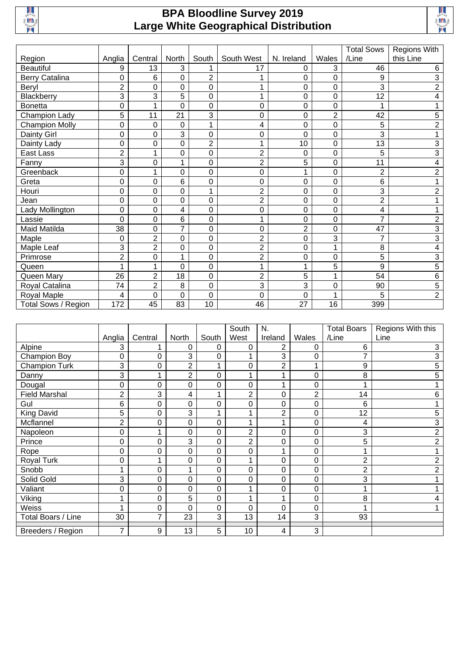

## **BPA Bloodline Survey 2019 Large White Geographical Distribution**



|                       |                  |                |                |                |                |                |                | <b>Total Sows</b> | Regions With   |
|-----------------------|------------------|----------------|----------------|----------------|----------------|----------------|----------------|-------------------|----------------|
| Region                | Anglia           | Central        | North          | South          | South West     | N. Ireland     | Wales          | /Line             | this Line      |
| <b>Beautiful</b>      | 9                | 13             | 3              |                | 17             | 0              | 3              | 46                | 6              |
| <b>Berry Catalina</b> | 0                | 6              | 0              | $\overline{2}$ |                | 0              | 0              | 9                 | 3              |
| Beryl                 | $\overline{2}$   | 0              | 0              | 0              | 4              | 0              | 0              | 3                 | $\overline{2}$ |
| Blackberry            | 3                | 3              | 5              | 0              | 4              | 0              | 0              | 12                | 4              |
| <b>Bonetta</b>        | 0                | 1              | 0              | 0              | 0              | 0              | 0              |                   |                |
| Champion Lady         | 5                | 11             | 21             | 3              | 0              | 0              | $\overline{2}$ | 42                | 5              |
| <b>Champion Molly</b> | 0                | 0              | 0              | 1              | 4              | 0              | 0              | 5                 | $\overline{2}$ |
| Dainty Girl           | 0                | 0              | 3              | 0              | 0              | 0              | 0              | 3                 |                |
| Dainty Lady           | 0                | 0              | 0              | $\overline{2}$ | 1              | 10             | 0              | 13                | 3              |
| East Lass             | $\overline{2}$   | 1              | 0              | 0              | $\overline{2}$ | 0              | 0              | 5                 | 3              |
| Fanny                 | 3                | 0              |                | 0              | $\overline{2}$ | 5              | 0              | 11                | 4              |
| Greenback             | 0                | 1              | 0              | 0              | 0              | 1              | 0              | $\overline{2}$    | $\overline{2}$ |
| Greta                 | 0                | 0              | 6              | 0              | 0              | 0              | 0              | 6                 |                |
| Houri                 | 0                | 0              | 0              |                | $\overline{2}$ | 0              | 0              | 3                 | $\overline{c}$ |
| Jean                  | 0                | 0              | 0              | 0              | $\overline{2}$ | 0              | 0              | $\overline{2}$    |                |
| Lady Mollington       | 0                | 0              | 4              | 0              | 0              | 0              | 0              | 4                 |                |
| Lassie                | 0                | 0              | 6              | 0              | 1              | 0              | 0              | $\overline{7}$    | $\overline{2}$ |
| Maid Matilda          | 38               | 0              | $\overline{7}$ | 0              | 0              | $\overline{2}$ | 0              | 47                | 3              |
| Maple                 | $\boldsymbol{0}$ | $\overline{c}$ | 0              | 0              | $\overline{2}$ | 0              | 3              | $\overline{7}$    | 3              |
| Maple Leaf            | 3                | $\overline{c}$ | 0              | 0              | $\overline{2}$ | 0              | 1              | 8                 | 4              |
| Primrose              | $\overline{2}$   | 0              | 1              | 0              | $\overline{2}$ | 0              | 0              | 5                 | 3              |
| Queen                 | 1                | 1              | 0              | 0              | 1              | 1              | 5              | 9                 | 5              |
| Queen Mary            | 26               | $\overline{2}$ | 18             | 0              | $\overline{2}$ | 5              | 1              | 54                | 6              |
| Royal Catalina        | 74               | $\overline{2}$ | 8              | 0              | 3              | 3              | 0              | 90                | 5              |
| Royal Maple           | 4                | $\mathbf 0$    | 0              | 0              | 0              | 0              |                | 5                 | $\overline{2}$ |
| Total Sows / Region   | 172              | 45             | 83             | 10             | 46             | 27             | 16             | 399               |                |

|                      |                         |             |                |       | South          | N.             |       | <b>Total Boars</b> | Regions With this |
|----------------------|-------------------------|-------------|----------------|-------|----------------|----------------|-------|--------------------|-------------------|
|                      | Anglia                  | Central     | North          | South | West           | Ireland        | Wales | /Line              | Line              |
| Alpine               | 3                       |             | $\mathbf 0$    | 0     | 0              | $\overline{2}$ | 0     | 6                  | 3                 |
| Champion Boy         | 0                       | 0           | 3              | 0     |                | 3              | 0     |                    | 3                 |
| <b>Champion Turk</b> | 3                       | 0           | $\overline{2}$ |       | 0              | $\overline{2}$ | 4     | 9                  | 5                 |
| Danny                | 3                       | 1           | $\overline{2}$ | 0     |                | 4              | 0     | 8                  | 5                 |
| Dougal               | 0                       | 0           | 0              | 0     | 0              | 1              | 0     |                    |                   |
| <b>Field Marshal</b> | $\overline{2}$          | 3           | 4              |       | 2              | 0              | 2     | 14                 | 6                 |
| Gul                  | 6                       | 0           | 0              | 0     | 0              | 0              | 0     | 6                  |                   |
| King David           | 5                       | 0           | 3              |       |                | $\overline{2}$ | 0     | 12                 | 5                 |
| Mcflannel            | $\overline{2}$          | 0           | 0              | 0     |                | 4              | 0     | 4                  | 3                 |
| Napoleon             | 0                       | 4           | 0              | 0     | 2              | 0              | 0     | 3                  | 2                 |
| Prince               | 0                       | 0           | 3              | 0     | $\overline{2}$ | 0              | 0     | 5                  | $\overline{2}$    |
| Rope                 | 0                       | $\mathbf 0$ | 0              | 0     | 0              | 1              | 0     |                    |                   |
| Royal Turk           | 0                       | 4           | 0              | 0     |                | 0              | 0     | 2                  |                   |
| Snobb                | 1                       | $\mathbf 0$ | 1              | 0     | 0              | 0              | 0     | 2                  | $\overline{2}$    |
| Solid Gold           | 3                       | 0           | 0              | 0     | 0              | 0              | 0     | 3                  |                   |
| Valiant              | 0                       | 0           | $\pmb{0}$      | 0     |                | 0              | 0     |                    |                   |
| Viking               | 1                       | 0           | 5              | 0     |                | 1              | 0     | 8                  |                   |
| Weiss                | $\overline{\mathbf{A}}$ | 0           | 0              | 0     | 0              | 0              | 0     |                    |                   |
| Total Boars / Line   | 30                      | 7           | 23             | 3     | 13             | 14             | 3     | 93                 |                   |
| Breeders / Region    | 7                       | 9           | 13             | 5     | 10             | 4              | 3     |                    |                   |